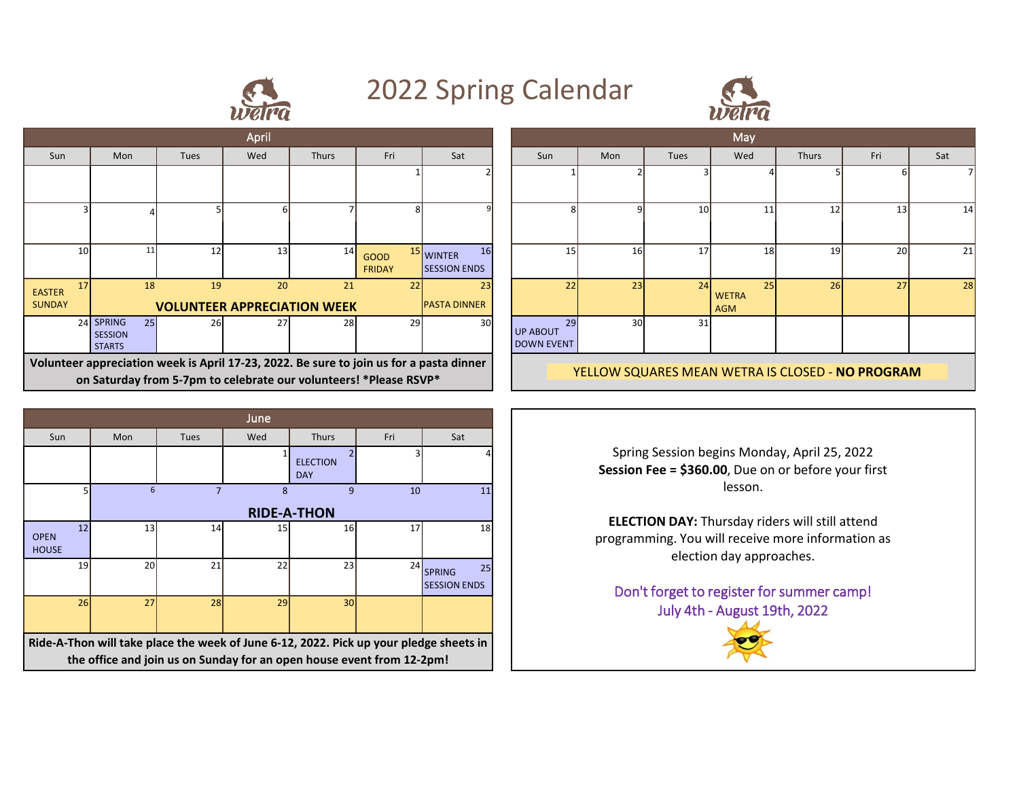

## 2022 Spring Calendar



| April                                                                                                                                                        |                                                    |                                          |                 |              |                              |                                            |  |                                                 | May             |           |                                  |              |     |  |
|--------------------------------------------------------------------------------------------------------------------------------------------------------------|----------------------------------------------------|------------------------------------------|-----------------|--------------|------------------------------|--------------------------------------------|--|-------------------------------------------------|-----------------|-----------|----------------------------------|--------------|-----|--|
| Sun                                                                                                                                                          | Mon                                                | Tues                                     | Wed             | <b>Thurs</b> | Fri                          | Sat                                        |  | Sun                                             | Mon             | Tues      | Wed                              | <b>Thurs</b> | Fri |  |
|                                                                                                                                                              |                                                    |                                          |                 |              |                              |                                            |  |                                                 |                 |           |                                  |              |     |  |
|                                                                                                                                                              |                                                    |                                          |                 |              |                              |                                            |  |                                                 | a               | <b>10</b> |                                  | 12           | 13  |  |
| 10                                                                                                                                                           |                                                    | 12                                       | 13 <sub>l</sub> | 14           | <b>GOOD</b><br><b>FRIDAY</b> | 16<br><b>WINTER</b><br><b>SESSION ENDS</b> |  | 15 <sup>1</sup>                                 | 16 <sup>1</sup> | 17        | 18 <sup>l</sup>                  | 19           | 20  |  |
| 17<br><b>EASTER</b><br><b>SUNDAY</b>                                                                                                                         | 18                                                 | 19<br><b>VOLUNTEER APPRECIATION WEEK</b> | 20              | 21           | 22                           | 23<br><b>PASTA DINNER</b>                  |  | 22                                              | 23              | 24        | 25<br><b>WETRA</b><br><b>AGM</b> | 26           | 27  |  |
|                                                                                                                                                              | 24 SPRING<br>25<br><b>SESSION</b><br><b>STARTS</b> | 26                                       |                 | 28           | 29                           | 30                                         |  | 29<br><b>UP ABOUT</b><br><b>DOWN EVENT</b>      | 30              | 31        |                                  |              |     |  |
| Volunteer appreciation week is April 17-23, 2022. Be sure to join us for a pasta dinner<br>on Saturday from 5-7pm to celebrate our volunteers! *Please RSVP* |                                                    |                                          |                 |              |                              |                                            |  | YELLOW SQUARES MEAN WETRA IS CLOSED - NO PROGRA |                 |           |                                  |              |     |  |

| June                                                                                   |                    |      |     |                               |     |                                            |  |  |  |  |  |  |
|----------------------------------------------------------------------------------------|--------------------|------|-----|-------------------------------|-----|--------------------------------------------|--|--|--|--|--|--|
| Sun                                                                                    | Mon                | Tues | Wed | <b>Thurs</b>                  | Fri | Sat                                        |  |  |  |  |  |  |
|                                                                                        |                    |      |     | <b>ELECTION</b><br><b>DAY</b> | ς   |                                            |  |  |  |  |  |  |
| 5                                                                                      | 6                  |      | 8   | 10                            | 11  |                                            |  |  |  |  |  |  |
|                                                                                        | <b>RIDE-A-THON</b> |      |     |                               |     |                                            |  |  |  |  |  |  |
| 12<br><b>OPEN</b><br><b>HOUSE</b>                                                      | 13                 | 14   | 15  | 16                            | 17  | 18                                         |  |  |  |  |  |  |
| 19                                                                                     | 20 <sub>l</sub>    | 21   | 22  | 23                            | 24  | 25<br><b>SPRING</b><br><b>SESSION ENDS</b> |  |  |  |  |  |  |
| 26                                                                                     | 27                 | 28   | 29  | 30 <sup>1</sup>               |     |                                            |  |  |  |  |  |  |
| Ride-A-Thon will take place the week of June 6-12, 2022. Pick up your pledge sheets in |                    |      |     |                               |     |                                            |  |  |  |  |  |  |
| the office and join us on Sunday for an open house event from 12-2pm!                  |                    |      |     |                               |     |                                            |  |  |  |  |  |  |

|                                |                                                    |      | April |                                                                                      |                              |                                                   |                                     |                 |           | May                       |       |                 |     |
|--------------------------------|----------------------------------------------------|------|-------|--------------------------------------------------------------------------------------|------------------------------|---------------------------------------------------|-------------------------------------|-----------------|-----------|---------------------------|-------|-----------------|-----|
| Sun                            | Mon                                                | Tues | Wed   | <b>Thurs</b>                                                                         | Fri                          | Sat                                               | Sun                                 | Mon             | Tues      | Wed                       | Thurs | Fri             | Sat |
|                                |                                                    |      |       |                                                                                      |                              |                                                   |                                     |                 |           |                           |       |                 |     |
|                                |                                                    |      |       |                                                                                      |                              |                                                   |                                     |                 | <b>10</b> | 11                        | 12    | 13 <sup>1</sup> | 14  |
| 10                             | 11                                                 | 12   | 13    | 14                                                                                   | <b>GOOD</b><br><b>FRIDAY</b> | <sup>15</sup> WINTER<br>16<br><b>SESSION ENDS</b> | 15                                  | <b>16</b>       | 17        | 18 <sup>l</sup>           | 19    | <b>20</b>       | 21  |
| 17<br><b>TER</b><br><b>DAY</b> | 18                                                 | 19   | 20    | 21<br><b>VOLUNTEER APPRECIATION WEEK</b>                                             | 22                           | 23<br><b>PASTA DINNER</b>                         | 22                                  | 23              | 24        | 25<br><b>WETRA</b><br>AGM | 26    | 27              | 28  |
|                                | 24 SPRING<br>25<br><b>SESSION</b><br><b>STARTS</b> | 26   | 27    | 28                                                                                   | 29                           | 30 <sup>l</sup>                                   | 29<br>UP ABOUT<br><b>DOWN EVENT</b> | 30 <sup>1</sup> | 31        |                           |       |                 |     |
|                                |                                                    |      |       | unteer annreciation week is Anril 17-22, 2022. Be sure to join us for a nasta dinner |                              |                                                   |                                     |                 |           |                           |       |                 |     |

YELLOW SQUARES MEAN WETRA IS CLOSED - **NO PROGRAM**

Spring Session begins Monday, April 25, 2022 **Session Fee = \$360.00**, Due on or before your first lesson.

**ELECTION DAY:** Thursday riders will still attend programming. You will receive more information as election day approaches.

Don't forget to register for summer camp! July 4th - August 19th, 2022